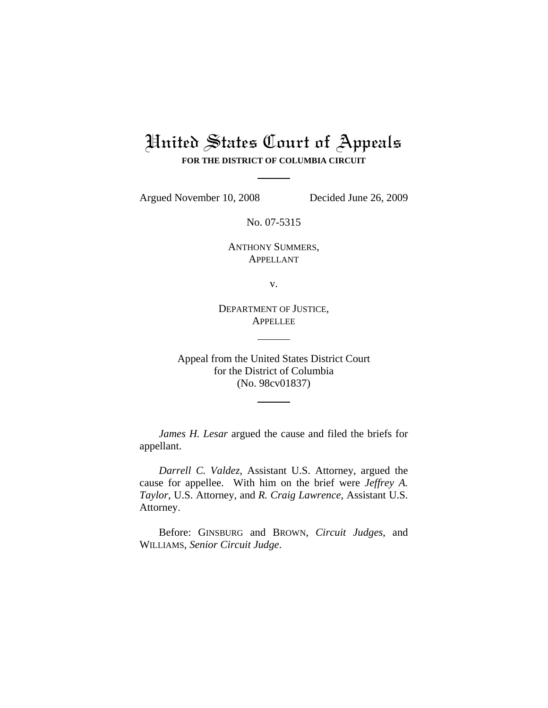# United States Court of Appeals **FOR THE DISTRICT OF COLUMBIA CIRCUIT**

Argued November 10, 2008 Decided June 26, 2009

No. 07-5315

ANTHONY SUMMERS, APPELLANT

v.

DEPARTMENT OF JUSTICE, **APPELLEE** 

Appeal from the United States District Court for the District of Columbia (No. 98cv01837)

*James H. Lesar* argued the cause and filed the briefs for appellant.

*Darrell C. Valdez*, Assistant U.S. Attorney, argued the cause for appellee. With him on the brief were *Jeffrey A. Taylor*, U.S. Attorney, and *R. Craig Lawrence*, Assistant U.S. Attorney.

Before: GINSBURG and BROWN, *Circuit Judges*, and WILLIAMS, *Senior Circuit Judge*.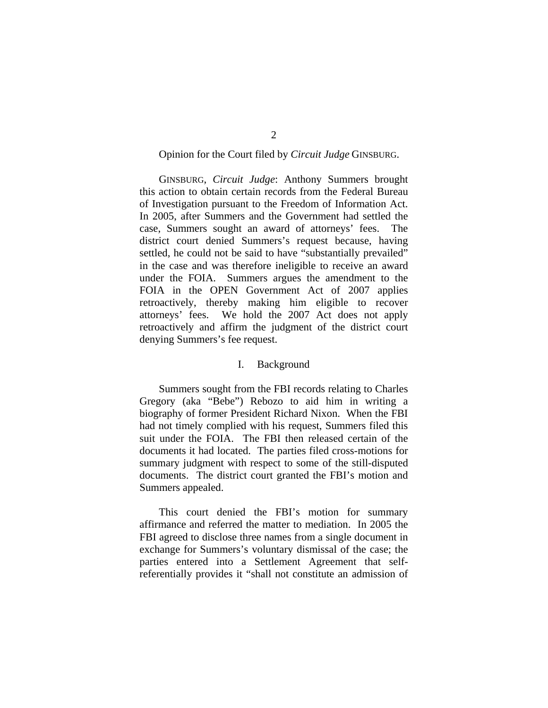# Opinion for the Court filed by *Circuit Judge* GINSBURG.

 GINSBURG, *Circuit Judge*: Anthony Summers brought this action to obtain certain records from the Federal Bureau of Investigation pursuant to the Freedom of Information Act. In 2005, after Summers and the Government had settled the case, Summers sought an award of attorneys' fees. The district court denied Summers's request because, having settled, he could not be said to have "substantially prevailed" in the case and was therefore ineligible to receive an award under the FOIA. Summers argues the amendment to the FOIA in the OPEN Government Act of 2007 applies retroactively, thereby making him eligible to recover attorneys' fees. We hold the 2007 Act does not apply retroactively and affirm the judgment of the district court denying Summers's fee request.

#### I. Background

 Summers sought from the FBI records relating to Charles Gregory (aka "Bebe") Rebozo to aid him in writing a biography of former President Richard Nixon. When the FBI had not timely complied with his request, Summers filed this suit under the FOIA. The FBI then released certain of the documents it had located. The parties filed cross-motions for summary judgment with respect to some of the still-disputed documents. The district court granted the FBI's motion and Summers appealed.

 This court denied the FBI's motion for summary affirmance and referred the matter to mediation. In 2005 the FBI agreed to disclose three names from a single document in exchange for Summers's voluntary dismissal of the case; the parties entered into a Settlement Agreement that selfreferentially provides it "shall not constitute an admission of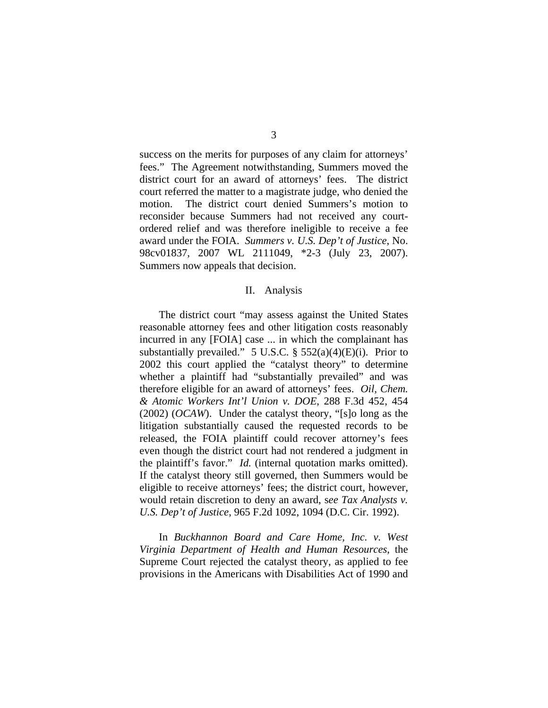success on the merits for purposes of any claim for attorneys' fees." The Agreement notwithstanding, Summers moved the district court for an award of attorneys' fees. The district court referred the matter to a magistrate judge, who denied the motion. The district court denied Summers's motion to reconsider because Summers had not received any courtordered relief and was therefore ineligible to receive a fee award under the FOIA. *Summers v. U.S. Dep't of Justice*, No. 98cv01837, 2007 WL 2111049, \*2-3 (July 23, 2007). Summers now appeals that decision.

#### II. Analysis

 The district court "may assess against the United States reasonable attorney fees and other litigation costs reasonably incurred in any [FOIA] case ... in which the complainant has substantially prevailed." 5 U.S.C. §  $552(a)(4)(E)(i)$ . Prior to 2002 this court applied the "catalyst theory" to determine whether a plaintiff had "substantially prevailed" and was therefore eligible for an award of attorneys' fees. *Oil, Chem. & Atomic Workers Int'l Union v. DOE*, 288 F.3d 452, 454 (2002) (*OCAW*). Under the catalyst theory, "[s]o long as the litigation substantially caused the requested records to be released, the FOIA plaintiff could recover attorney's fees even though the district court had not rendered a judgment in the plaintiff's favor." *Id.* (internal quotation marks omitted). If the catalyst theory still governed, then Summers would be eligible to receive attorneys' fees; the district court, however, would retain discretion to deny an award, s*ee Tax Analysts v. U.S. Dep't of Justice*, 965 F.2d 1092, 1094 (D.C. Cir. 1992).

In *Buckhannon Board and Care Home, Inc. v. West Virginia Department of Health and Human Resources*, the Supreme Court rejected the catalyst theory, as applied to fee provisions in the Americans with Disabilities Act of 1990 and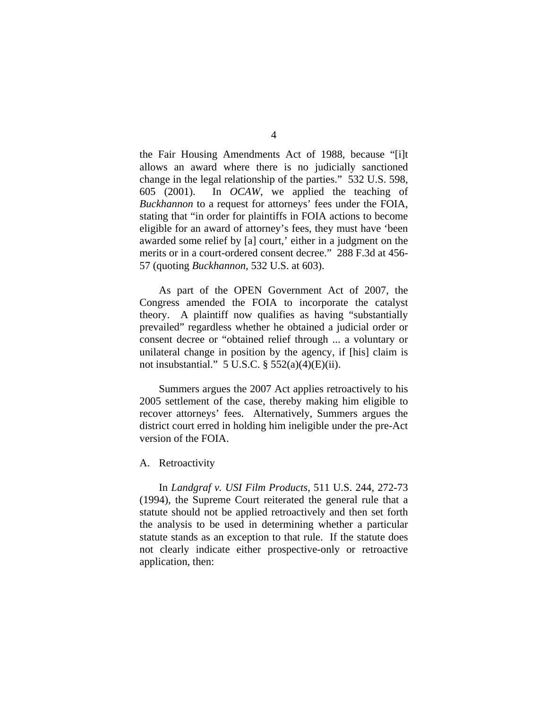the Fair Housing Amendments Act of 1988, because "[i]t allows an award where there is no judicially sanctioned change in the legal relationship of the parties." 532 U.S. 598, 605 (2001). In *OCAW*, we applied the teaching of *Buckhannon* to a request for attorneys' fees under the FOIA, stating that "in order for plaintiffs in FOIA actions to become eligible for an award of attorney's fees, they must have 'been awarded some relief by [a] court,' either in a judgment on the merits or in a court-ordered consent decree." 288 F.3d at 456- 57 (quoting *Buckhannon*, 532 U.S. at 603).

 As part of the OPEN Government Act of 2007, the Congress amended the FOIA to incorporate the catalyst theory. A plaintiff now qualifies as having "substantially prevailed" regardless whether he obtained a judicial order or consent decree or "obtained relief through ... a voluntary or unilateral change in position by the agency, if [his] claim is not insubstantial." 5 U.S.C.  $\S$  552(a)(4)(E)(ii).

Summers argues the 2007 Act applies retroactively to his 2005 settlement of the case, thereby making him eligible to recover attorneys' fees. Alternatively, Summers argues the district court erred in holding him ineligible under the pre-Act version of the FOIA.

## A. Retroactivity

In *Landgraf v. USI Film Products*, 511 U.S. 244, 272-73 (1994), the Supreme Court reiterated the general rule that a statute should not be applied retroactively and then set forth the analysis to be used in determining whether a particular statute stands as an exception to that rule. If the statute does not clearly indicate either prospective-only or retroactive application, then: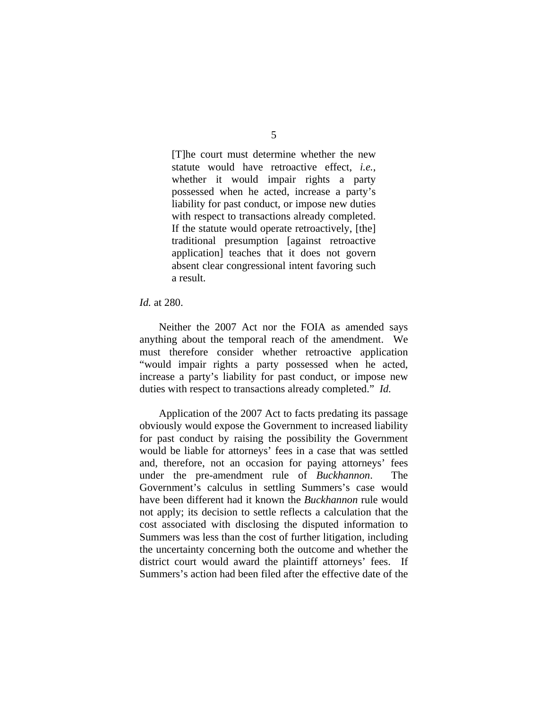[T]he court must determine whether the new statute would have retroactive effect, *i.e.*, whether it would impair rights a party possessed when he acted, increase a party's liability for past conduct, or impose new duties with respect to transactions already completed. If the statute would operate retroactively, [the] traditional presumption [against retroactive application] teaches that it does not govern absent clear congressional intent favoring such a result.

#### *Id.* at 280.

Neither the 2007 Act nor the FOIA as amended says anything about the temporal reach of the amendment. We must therefore consider whether retroactive application "would impair rights a party possessed when he acted, increase a party's liability for past conduct, or impose new duties with respect to transactions already completed." *Id.*

Application of the 2007 Act to facts predating its passage obviously would expose the Government to increased liability for past conduct by raising the possibility the Government would be liable for attorneys' fees in a case that was settled and, therefore, not an occasion for paying attorneys' fees under the pre-amendment rule of *Buckhannon*. The Government's calculus in settling Summers's case would have been different had it known the *Buckhannon* rule would not apply; its decision to settle reflects a calculation that the cost associated with disclosing the disputed information to Summers was less than the cost of further litigation, including the uncertainty concerning both the outcome and whether the district court would award the plaintiff attorneys' fees. If Summers's action had been filed after the effective date of the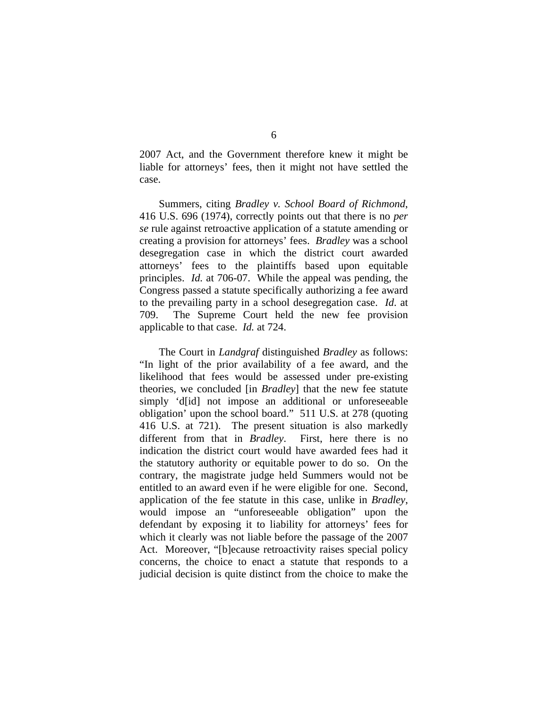2007 Act, and the Government therefore knew it might be liable for attorneys' fees, then it might not have settled the case.

 Summers, citing *Bradley v. School Board of Richmond*, 416 U.S. 696 (1974), correctly points out that there is no *per se* rule against retroactive application of a statute amending or creating a provision for attorneys' fees. *Bradley* was a school desegregation case in which the district court awarded attorneys' fees to the plaintiffs based upon equitable principles. *Id.* at 706-07. While the appeal was pending, the Congress passed a statute specifically authorizing a fee award to the prevailing party in a school desegregation case. *Id*. at 709. The Supreme Court held the new fee provision applicable to that case. *Id.* at 724.

 The Court in *Landgraf* distinguished *Bradley* as follows: "In light of the prior availability of a fee award, and the likelihood that fees would be assessed under pre-existing theories, we concluded [in *Bradley*] that the new fee statute simply 'd[id] not impose an additional or unforeseeable obligation' upon the school board." 511 U.S. at 278 (quoting 416 U.S. at 721). The present situation is also markedly different from that in *Bradley*. First, here there is no indication the district court would have awarded fees had it the statutory authority or equitable power to do so. On the contrary, the magistrate judge held Summers would not be entitled to an award even if he were eligible for one. Second, application of the fee statute in this case, unlike in *Bradley*, would impose an "unforeseeable obligation" upon the defendant by exposing it to liability for attorneys' fees for which it clearly was not liable before the passage of the 2007 Act. Moreover, "[b]ecause retroactivity raises special policy concerns, the choice to enact a statute that responds to a judicial decision is quite distinct from the choice to make the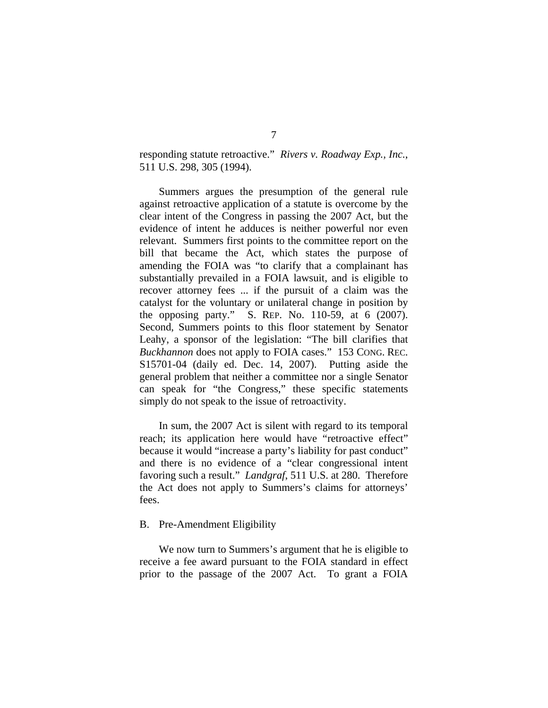responding statute retroactive." *Rivers v. Roadway Exp., Inc.*, 511 U.S. 298, 305 (1994).

 Summers argues the presumption of the general rule against retroactive application of a statute is overcome by the clear intent of the Congress in passing the 2007 Act, but the evidence of intent he adduces is neither powerful nor even relevant. Summers first points to the committee report on the bill that became the Act, which states the purpose of amending the FOIA was "to clarify that a complainant has substantially prevailed in a FOIA lawsuit, and is eligible to recover attorney fees ... if the pursuit of a claim was the catalyst for the voluntary or unilateral change in position by the opposing party." S. REP. No. 110-59, at 6 (2007). Second, Summers points to this floor statement by Senator Leahy, a sponsor of the legislation: "The bill clarifies that *Buckhannon* does not apply to FOIA cases." 153 CONG. REC. S15701-04 (daily ed. Dec. 14, 2007). Putting aside the general problem that neither a committee nor a single Senator can speak for "the Congress," these specific statements simply do not speak to the issue of retroactivity.

In sum, the 2007 Act is silent with regard to its temporal reach; its application here would have "retroactive effect" because it would "increase a party's liability for past conduct" and there is no evidence of a "clear congressional intent favoring such a result." *Landgraf*, 511 U.S. at 280. Therefore the Act does not apply to Summers's claims for attorneys' fees.

# B. Pre-Amendment Eligibility

 We now turn to Summers's argument that he is eligible to receive a fee award pursuant to the FOIA standard in effect prior to the passage of the 2007 Act. To grant a FOIA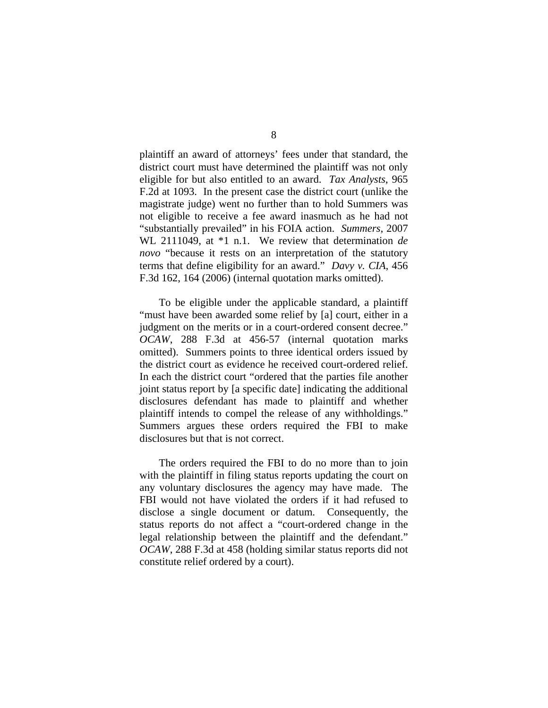plaintiff an award of attorneys' fees under that standard, the district court must have determined the plaintiff was not only eligible for but also entitled to an award. *Tax Analysts*, 965 F.2d at 1093.In the present case the district court (unlike the magistrate judge) went no further than to hold Summers was not eligible to receive a fee award inasmuch as he had not "substantially prevailed" in his FOIA action. *Summers*, 2007 WL 2111049, at \*1 n.1. We review that determination *de novo* "because it rests on an interpretation of the statutory terms that define eligibility for an award." *Davy v. CIA*, 456 F.3d 162, 164 (2006) (internal quotation marks omitted).

 To be eligible under the applicable standard, a plaintiff "must have been awarded some relief by [a] court, either in a judgment on the merits or in a court-ordered consent decree." *OCAW*, 288 F.3d at 456-57 (internal quotation marks omitted). Summers points to three identical orders issued by the district court as evidence he received court-ordered relief. In each the district court "ordered that the parties file another joint status report by [a specific date] indicating the additional disclosures defendant has made to plaintiff and whether plaintiff intends to compel the release of any withholdings." Summers argues these orders required the FBI to make disclosures but that is not correct.

 The orders required the FBI to do no more than to join with the plaintiff in filing status reports updating the court on any voluntary disclosures the agency may have made. The FBI would not have violated the orders if it had refused to disclose a single document or datum. Consequently, the status reports do not affect a "court-ordered change in the legal relationship between the plaintiff and the defendant." *OCAW*, 288 F.3d at 458 (holding similar status reports did not constitute relief ordered by a court).